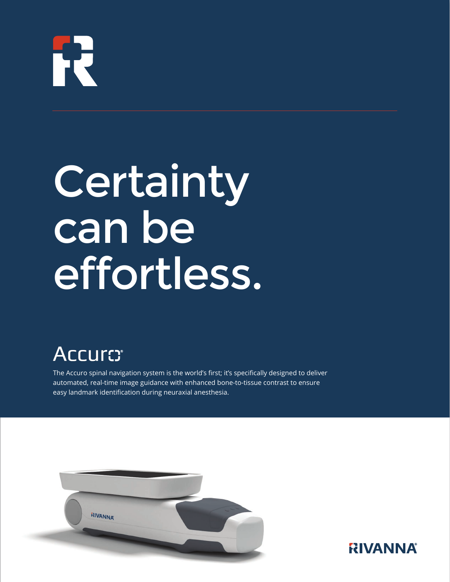# R

# **Certainty** can be effortless.

# **Accuro:**

The Accuro spinal navigation system is the world's first; it's specifically designed to deliver automated, real-time image guidance with enhanced bone-to-tissue contrast to ensure easy landmark identification during neuraxial anesthesia.



# **RIVANNA**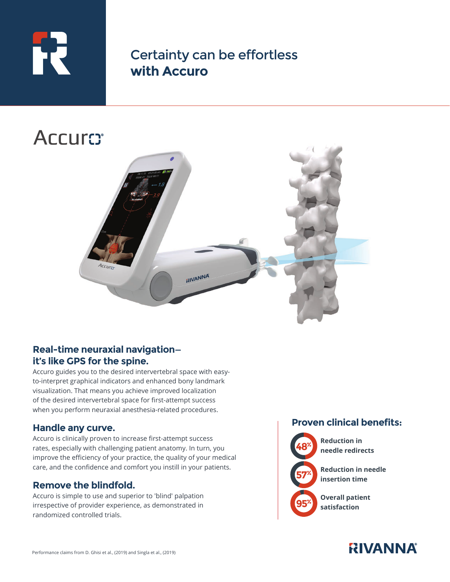

Certainty can be effortless **with Accuro**

# **Accurs**



# **Real-time neuraxial navigation it's like GPS for the spine.**

Accuro guides you to the desired intervertebral space with easyto-interpret graphical indicators and enhanced bony landmark visualization. That means you achieve improved localization of the desired intervertebral space for first-attempt success when you perform neuraxial anesthesia-related procedures.

### **Handle any curve.**

Accuro is clinically proven to increase first-attempt success rates, especially with challenging patient anatomy. In turn, you improve the efficiency of your practice, the quality of your medical care, and the confidence and comfort you instill in your patients.

### **Remove the blindfold.**

Accuro is simple to use and superior to 'blind' palpation irrespective of provider experience, as demonstrated in randomized controlled trials.

# **Proven clinical benefits:**



**Reduction in needle redirects**

**Reduction in needle insertion time**

 **Overall patient satisfaction**

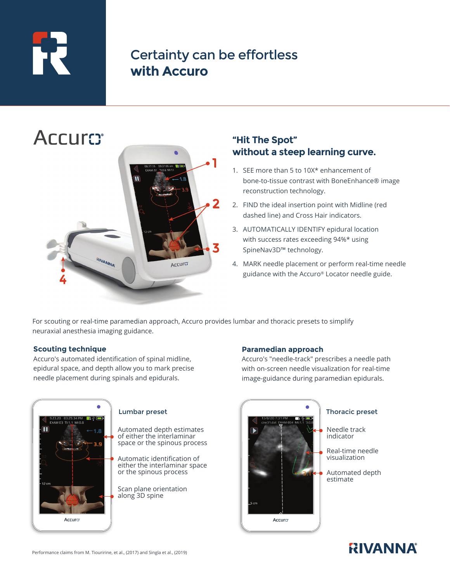# РĒ

# Certainty can be effortless **with Accuro**



# **"Hit The Spot" without a steep learning curve.**

- 1. SEE more than 5 to 10X\* enhancement of bone-to-tissue contrast with BoneEnhance® image reconstruction technology.
- 2. FIND the ideal insertion point with Midline (red dashed line) and Cross Hair indicators.
- 3. AUTOMATICALLY IDENTIFY epidural location with success rates exceeding 94%\* using SpineNav3D™ technology.
- 4. MARK needle placement or perform real-time needle guidance with the Accuro® Locator needle guide.

For scouting or real-time paramedian approach, Accuro provides lumbar and thoracic presets to simplify neuraxial anesthesia imaging guidance.

### **Scouting technique**

Accuro's automated identification of spinal midline, epidural space, and depth allow you to mark precise needle placement during spinals and epidurals.



Automated depth estimates of either the interlaminar space or the spinous process

Automatic identification of either the interlaminar space or the spinous process

Scan plane orientation along 3D spine

### **Paramedian approach**

Accuro's "needle-track" prescribes a needle path with on-screen needle visualization for real-time image-guidance during paramedian epidurals.



Needle track indicator

Real-time needle visualization

Automated depth estimate